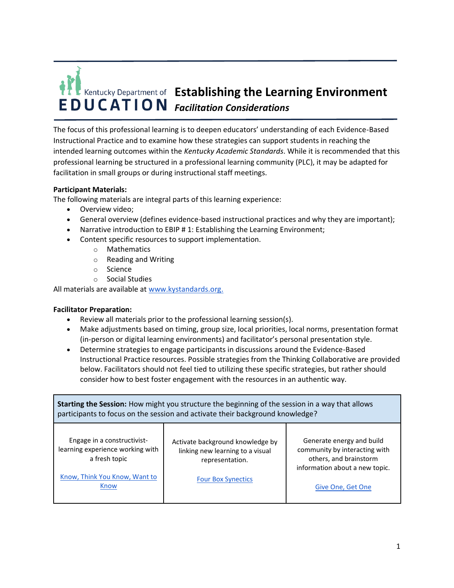

The focus of this professional learning is to deepen educators' understanding of each Evidence-Based Instructional Practice and to examine how these strategies can support students in reaching the intended learning outcomes within the *Kentucky Academic Standards*. While it is recommended that this professional learning be structured in a professional learning community (PLC), it may be adapted for facilitation in small groups or during instructional staff meetings.

## **Participant Materials:**

The following materials are integral parts of this learning experience:

- Overview video;
- General overview (defines evidence-based instructional practices and why they are important);
- Narrative introduction to EBIP # 1: Establishing the Learning Environment;
- Content specific resources to support implementation.
	- o Mathematics
	- o Reading and Writing
	- o Science
	- o Social Studies

All materials are available at www.kystandards.org.

## **Facilitator Preparation:**

- Review all materials prior to the professional learning session(s).
- Make adjustments based on timing, group size, local priorities, local norms, presentation format (in-person or digital learning environments) and facilitator's personal presentation style.
- Determine strategies to engage participants in discussions around the Evidence-Based Instructional Practice resources. Possible strategies from the Thinking Collaborative are provided below. Facilitators should not feel tied to utilizing these specific strategies, but rather should consider how to best foster engagement with the resources in an authentic way.

| <b>Starting the Session:</b> How might you structure the beginning of the session in a way that allows<br>participants to focus on the session and activate their background knowledge? |                                                                                                                      |                                                                                                                                             |  |
|-----------------------------------------------------------------------------------------------------------------------------------------------------------------------------------------|----------------------------------------------------------------------------------------------------------------------|---------------------------------------------------------------------------------------------------------------------------------------------|--|
| Engage in a constructivist-<br>learning experience working with<br>a fresh topic<br>Know, Think You Know, Want to<br>Know                                                               | Activate background knowledge by<br>linking new learning to a visual<br>representation.<br><b>Four Box Synectics</b> | Generate energy and build<br>community by interacting with<br>others, and brainstorm<br>information about a new topic.<br>Give One, Get One |  |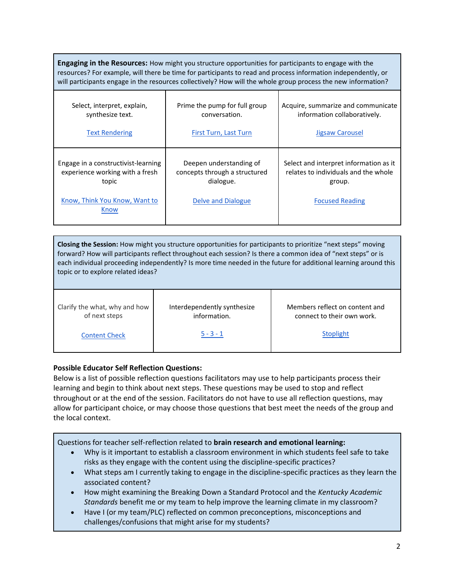| <b>Engaging in the Resources:</b> How might you structure opportunities for participants to engage with the<br>resources? For example, will there be time for participants to read and process information independently, or<br>will participants engage in the resources collectively? How will the whole group process the new information? |                                                                                             |                                                                                                                    |  |
|-----------------------------------------------------------------------------------------------------------------------------------------------------------------------------------------------------------------------------------------------------------------------------------------------------------------------------------------------|---------------------------------------------------------------------------------------------|--------------------------------------------------------------------------------------------------------------------|--|
| Select, interpret, explain,<br>synthesize text.<br><b>Text Rendering</b>                                                                                                                                                                                                                                                                      | Prime the pump for full group<br>conversation.<br>First Turn, Last Turn                     | Acquire, summarize and communicate<br>information collaboratively.<br>Jigsaw Carousel                              |  |
| Engage in a constructivist-learning<br>experience working with a fresh<br>topic<br>Know, Think You Know, Want to<br>Know                                                                                                                                                                                                                      | Deepen understanding of<br>concepts through a structured<br>dialogue.<br>Delve and Dialogue | Select and interpret information as it<br>relates to individuals and the whole<br>group.<br><b>Focused Reading</b> |  |

**Closing the Session:** How might you structure opportunities for participants to prioritize "next steps" moving forward? How will participants reflect throughout each session? Is there a common idea of "next steps" or is each individual proceeding independently? Is more time needed in the future for additional learning around this topic or to explore related ideas?

Clarify the what, why and how of next steps

Interdependently synthesize information.

Members reflect on content and connect to their own work.

Content Check

 $5 - 3 - 1$ 

**Stoplight** 

## **Possible Educator Self Reflection Questions:**

Below is a list of possible reflection questions facilitators may use to help participants process their learning and begin to think about next steps. These questions may be used to stop and reflect throughout or at the end of the session. Facilitators do not have to use all reflection questions, may allow for participant choice, or may choose those questions that best meet the needs of the group and the local context.

Questions for teacher self-reflection related to **brain research and emotional learning:**

- Why is it important to establish a classroom environment in which students feel safe to take risks as they engage with the content using the discipline-specific practices?
- What steps am I currently taking to engage in the discipline-specific practices as they learn the associated content?
- How might examining the Breaking Down a Standard Protocol and the *Kentucky Academic Standards* benefit me or my team to help improve the learning climate in my classroom?
- Have I (or my team/PLC) reflected on common preconceptions, misconceptions and challenges/confusions that might arise for my students?